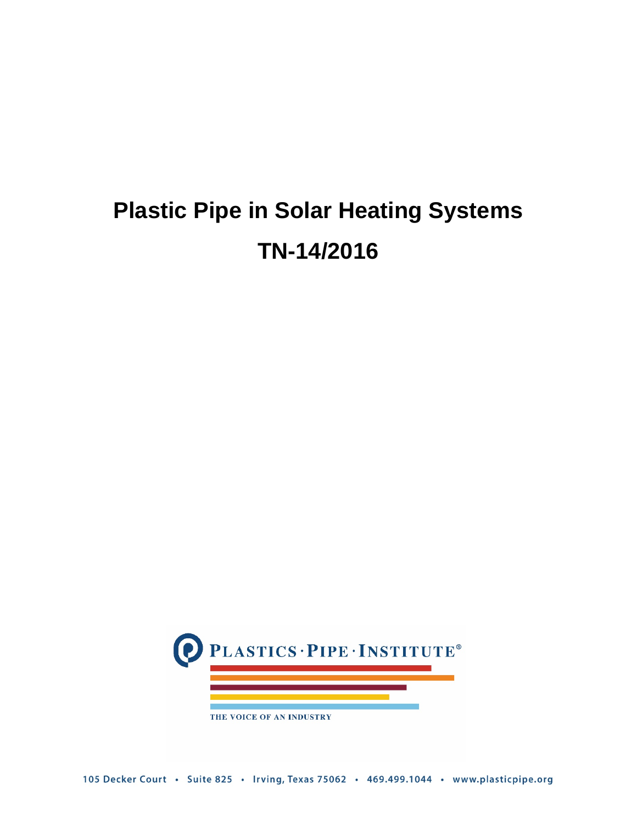# **Plastic Pipe in Solar Heating Systems TN-14/2016**

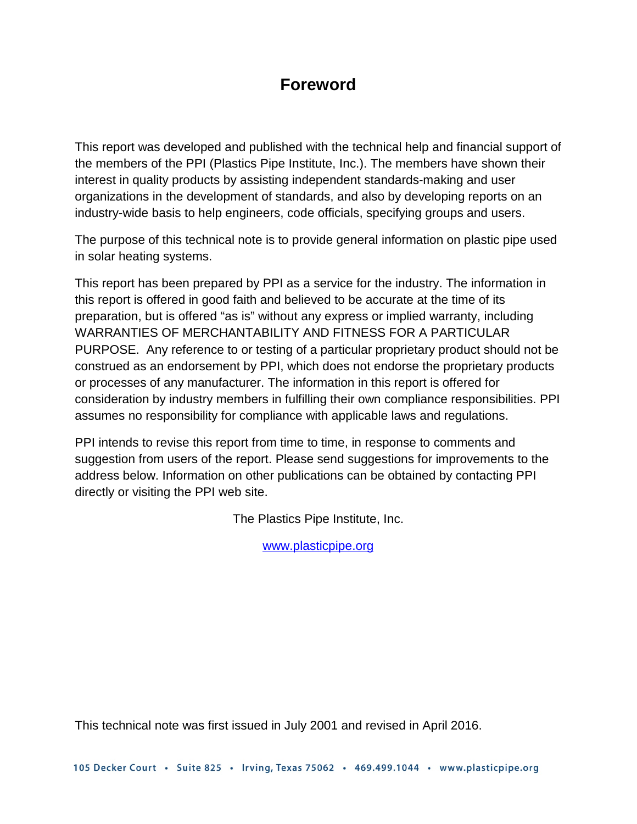# **Foreword**

This report was developed and published with the technical help and financial support of the members of the PPI (Plastics Pipe Institute, Inc.). The members have shown their interest in quality products by assisting independent standards-making and user organizations in the development of standards, and also by developing reports on an industry-wide basis to help engineers, code officials, specifying groups and users.

The purpose of this technical note is to provide general information on plastic pipe used in solar heating systems.

This report has been prepared by PPI as a service for the industry. The information in this report is offered in good faith and believed to be accurate at the time of its preparation, but is offered "as is" without any express or implied warranty, including WARRANTIES OF MERCHANTABILITY AND FITNESS FOR A PARTICULAR PURPOSE. Any reference to or testing of a particular proprietary product should not be construed as an endorsement by PPI, which does not endorse the proprietary products or processes of any manufacturer. The information in this report is offered for consideration by industry members in fulfilling their own compliance responsibilities. PPI assumes no responsibility for compliance with applicable laws and regulations.

PPI intends to revise this report from time to time, in response to comments and suggestion from users of the report. Please send suggestions for improvements to the address below. Information on other publications can be obtained by contacting PPI directly or visiting the PPI web site.

The Plastics Pipe Institute, Inc.

[www.plasticpipe.org](http://www.plasticpipe.org/)

This technical note was first issued in July 2001 and revised in April 2016.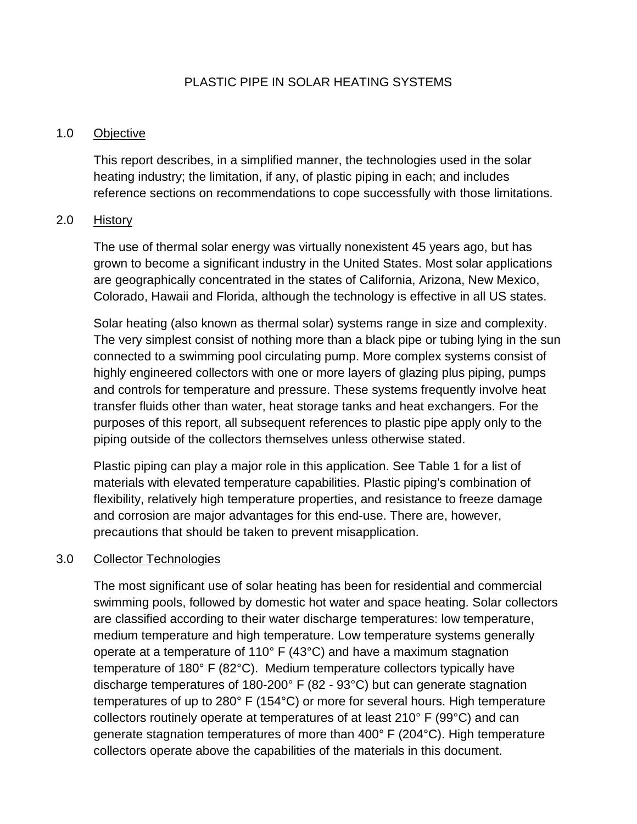# PLASTIC PIPE IN SOLAR HEATING SYSTEMS

#### 1.0 Objective

This report describes, in a simplified manner, the technologies used in the solar heating industry; the limitation, if any, of plastic piping in each; and includes reference sections on recommendations to cope successfully with those limitations.

#### 2.0 History

The use of thermal solar energy was virtually nonexistent 45 years ago, but has grown to become a significant industry in the United States. Most solar applications are geographically concentrated in the states of California, Arizona, New Mexico, Colorado, Hawaii and Florida, although the technology is effective in all US states.

Solar heating (also known as thermal solar) systems range in size and complexity. The very simplest consist of nothing more than a black pipe or tubing lying in the sun connected to a swimming pool circulating pump. More complex systems consist of highly engineered collectors with one or more layers of glazing plus piping, pumps and controls for temperature and pressure. These systems frequently involve heat transfer fluids other than water, heat storage tanks and heat exchangers. For the purposes of this report, all subsequent references to plastic pipe apply only to the piping outside of the collectors themselves unless otherwise stated.

Plastic piping can play a major role in this application. See Table 1 for a list of materials with elevated temperature capabilities. Plastic piping's combination of flexibility, relatively high temperature properties, and resistance to freeze damage and corrosion are major advantages for this end-use. There are, however, precautions that should be taken to prevent misapplication.

#### 3.0 Collector Technologies

The most significant use of solar heating has been for residential and commercial swimming pools, followed by domestic hot water and space heating. Solar collectors are classified according to their water discharge temperatures: low temperature, medium temperature and high temperature. Low temperature systems generally operate at a temperature of 110° F (43°C) and have a maximum stagnation temperature of 180° F (82°C). Medium temperature collectors typically have discharge temperatures of 180-200° F (82 - 93°C) but can generate stagnation temperatures of up to 280° F (154°C) or more for several hours. High temperature collectors routinely operate at temperatures of at least 210° F (99°C) and can generate stagnation temperatures of more than 400° F (204°C). High temperature collectors operate above the capabilities of the materials in this document.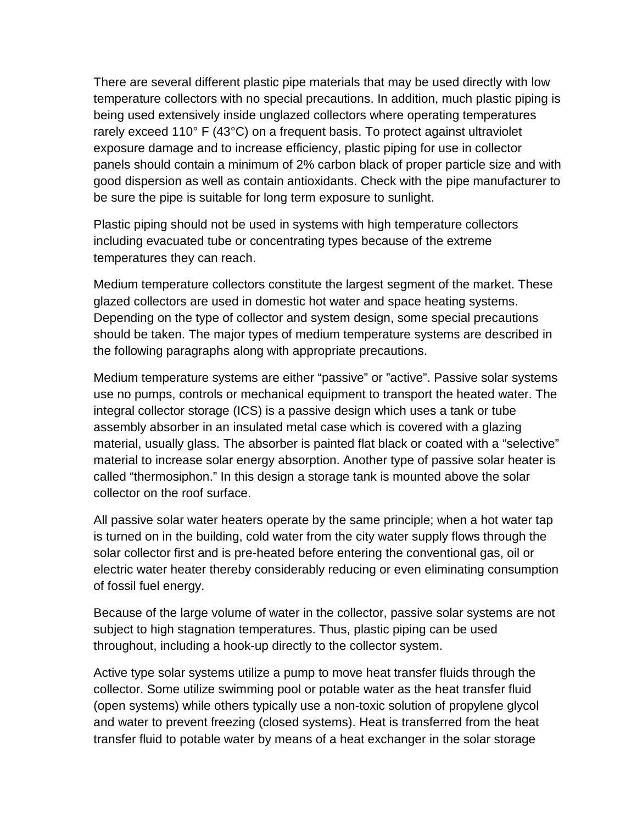There are several different plastic pipe materials that may be used directly with low temperature collectors with no special precautions. In addition, much plastic piping is being used extensively inside unglazed collectors where operating temperatures rarely exceed 110° F (43°C) on a frequent basis. To protect against ultraviolet exposure damage and to increase efficiency, plastic piping for use in collector panels should contain a minimum of 2% carbon black of proper particle size and with good dispersion as well as contain antioxidants. Check with the pipe manufacturer to be sure the pipe is suitable for long term exposure to sunlight.

Plastic piping should not be used in systems with high temperature collectors including evacuated tube or concentrating types because of the extreme temperatures they can reach.

Medium temperature collectors constitute the largest segment of the market. These glazed collectors are used in domestic hot water and space heating systems. Depending on the type of collector and system design, some special precautions should be taken. The major types of medium temperature systems are described in the following paragraphs along with appropriate precautions.

Medium temperature systems are either "passive" or "active". Passive solar systems use no pumps, controls or mechanical equipment to transport the heated water. The integral collector storage (ICS) is a passive design which uses a tank or tube assembly absorber in an insulated metal case which is covered with a glazing material, usually glass. The absorber is painted flat black or coated with a "selective" material to increase solar energy absorption. Another type of passive solar heater is called "thermosiphon." In this design a storage tank is mounted above the solar collector on the roof surface.

All passive solar water heaters operate by the same principle; when a hot water tap is turned on in the building, cold water from the city water supply flows through the solar collector first and is pre-heated before entering the conventional gas, oil or electric water heater thereby considerably reducing or even eliminating consumption of fossil fuel energy.

Because of the large volume of water in the collector, passive solar systems are not subject to high stagnation temperatures. Thus, plastic piping can be used throughout, including a hook-up directly to the collector system.

Active type solar systems utilize a pump to move heat transfer fluids through the collector. Some utilize swimming pool or potable water as the heat transfer fluid (open systems) while others typically use a non-toxic solution of propylene glycol and water to prevent freezing (closed systems). Heat is transferred from the heat transfer fluid to potable water by means of a heat exchanger in the solar storage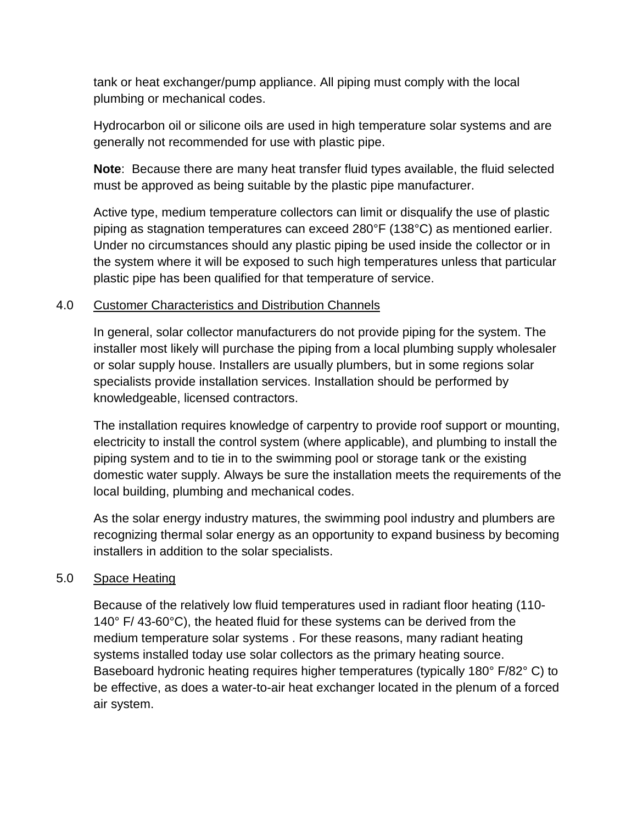tank or heat exchanger/pump appliance. All piping must comply with the local plumbing or mechanical codes.

Hydrocarbon oil or silicone oils are used in high temperature solar systems and are generally not recommended for use with plastic pipe.

**Note**: Because there are many heat transfer fluid types available, the fluid selected must be approved as being suitable by the plastic pipe manufacturer.

Active type, medium temperature collectors can limit or disqualify the use of plastic piping as stagnation temperatures can exceed 280°F (138°C) as mentioned earlier. Under no circumstances should any plastic piping be used inside the collector or in the system where it will be exposed to such high temperatures unless that particular plastic pipe has been qualified for that temperature of service.

# 4.0 Customer Characteristics and Distribution Channels

In general, solar collector manufacturers do not provide piping for the system. The installer most likely will purchase the piping from a local plumbing supply wholesaler or solar supply house. Installers are usually plumbers, but in some regions solar specialists provide installation services. Installation should be performed by knowledgeable, licensed contractors.

The installation requires knowledge of carpentry to provide roof support or mounting, electricity to install the control system (where applicable), and plumbing to install the piping system and to tie in to the swimming pool or storage tank or the existing domestic water supply. Always be sure the installation meets the requirements of the local building, plumbing and mechanical codes.

As the solar energy industry matures, the swimming pool industry and plumbers are recognizing thermal solar energy as an opportunity to expand business by becoming installers in addition to the solar specialists.

# 5.0 Space Heating

Because of the relatively low fluid temperatures used in radiant floor heating (110- 140° F/ 43-60°C), the heated fluid for these systems can be derived from the medium temperature solar systems . For these reasons, many radiant heating systems installed today use solar collectors as the primary heating source. Baseboard hydronic heating requires higher temperatures (typically 180° F/82° C) to be effective, as does a water-to-air heat exchanger located in the plenum of a forced air system.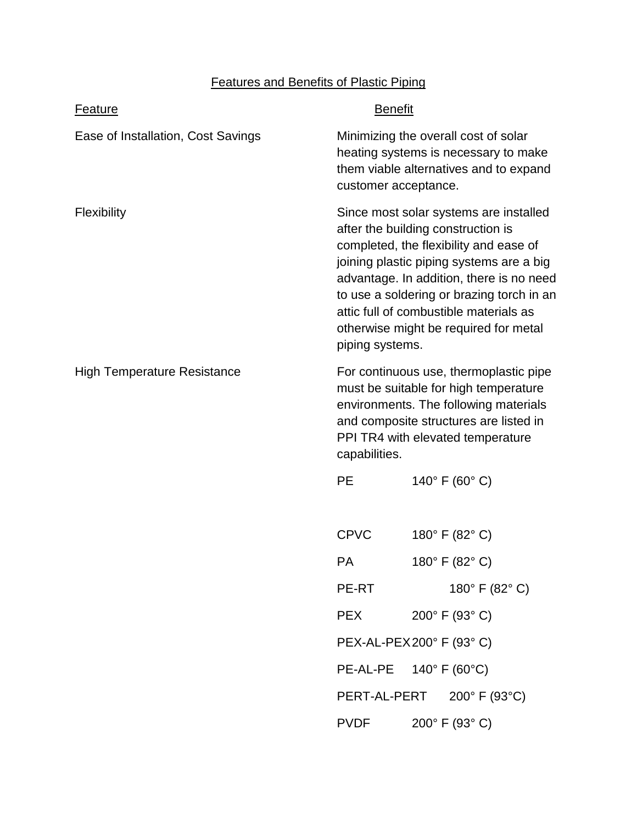# Features and Benefits of Plastic Piping

| <b>Feature</b>                     | <b>Benefit</b>                                                                                                                                                                                                                                                                                                                                                    |  |                                    |
|------------------------------------|-------------------------------------------------------------------------------------------------------------------------------------------------------------------------------------------------------------------------------------------------------------------------------------------------------------------------------------------------------------------|--|------------------------------------|
| Ease of Installation, Cost Savings | Minimizing the overall cost of solar<br>heating systems is necessary to make<br>them viable alternatives and to expand<br>customer acceptance.                                                                                                                                                                                                                    |  |                                    |
| <b>Flexibility</b>                 | Since most solar systems are installed<br>after the building construction is<br>completed, the flexibility and ease of<br>joining plastic piping systems are a big<br>advantage. In addition, there is no need<br>to use a soldering or brazing torch in an<br>attic full of combustible materials as<br>otherwise might be required for metal<br>piping systems. |  |                                    |
| <b>High Temperature Resistance</b> | For continuous use, thermoplastic pipe<br>must be suitable for high temperature<br>environments. The following materials<br>and composite structures are listed in<br>PPI TR4 with elevated temperature<br>capabilities.                                                                                                                                          |  |                                    |
|                                    | <b>PE</b>                                                                                                                                                                                                                                                                                                                                                         |  | 140° F (60° C)                     |
|                                    | <b>CPVC</b>                                                                                                                                                                                                                                                                                                                                                       |  | 180° F (82° C)                     |
|                                    | <b>PA</b>                                                                                                                                                                                                                                                                                                                                                         |  | 180° F (82° C)                     |
|                                    | PE-RT                                                                                                                                                                                                                                                                                                                                                             |  | 180° F (82° C)                     |
|                                    | <b>PEX</b>                                                                                                                                                                                                                                                                                                                                                        |  | 200° F (93° C)                     |
|                                    | PEX-AL-PEX200° F (93° C)                                                                                                                                                                                                                                                                                                                                          |  |                                    |
|                                    | PE-AL-PE                                                                                                                                                                                                                                                                                                                                                          |  | 140 $^{\circ}$ F (60 $^{\circ}$ C) |
|                                    | PERT-AL-PERT                                                                                                                                                                                                                                                                                                                                                      |  | 200° F (93°C)                      |
|                                    | <b>PVDF</b>                                                                                                                                                                                                                                                                                                                                                       |  | 200° F (93° C)                     |